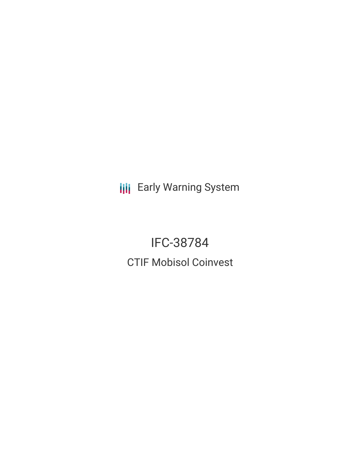**III** Early Warning System

IFC-38784 CTIF Mobisol Coinvest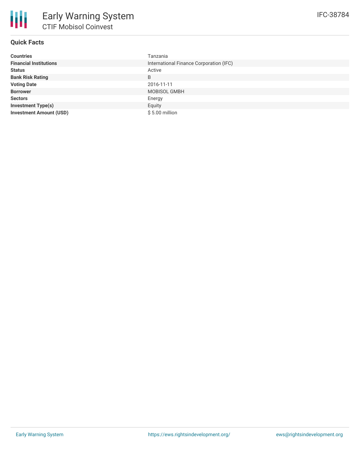# **Quick Facts**

| <b>Countries</b>               | Tanzania                                |
|--------------------------------|-----------------------------------------|
| <b>Financial Institutions</b>  | International Finance Corporation (IFC) |
| <b>Status</b>                  | Active                                  |
| <b>Bank Risk Rating</b>        | B                                       |
| <b>Voting Date</b>             | 2016-11-11                              |
| <b>Borrower</b>                | MOBISOL GMBH                            |
| <b>Sectors</b>                 | Energy                                  |
| <b>Investment Type(s)</b>      | Equity                                  |
| <b>Investment Amount (USD)</b> | $$5.00$ million                         |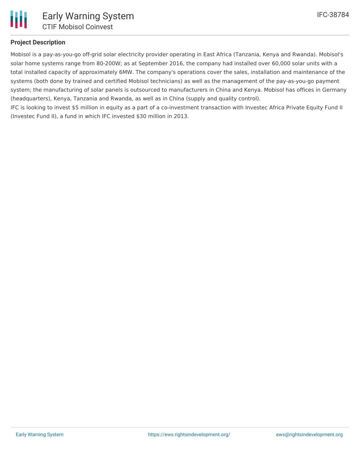

## **Project Description**

Mobisol is a pay-as-you-go off-grid solar electricity provider operating in East Africa (Tanzania, Kenya and Rwanda). Mobisol's solar home systems range from 80-200W; as at September 2016, the company had installed over 60,000 solar units with a total installed capacity of approximately 6MW. The company's operations cover the sales, installation and maintenance of the systems (both done by trained and certified Mobisol technicians) as well as the management of the pay-as-you-go payment system; the manufacturing of solar panels is outsourced to manufacturers in China and Kenya. Mobisol has offices in Germany (headquarters), Kenya, Tanzania and Rwanda, as well as in China (supply and quality control).

IFC is looking to invest \$5 million in equity as a part of a co-investment transaction with Investec Africa Private Equity Fund II (Investec Fund II), a fund in which IFC invested \$30 million in 2013.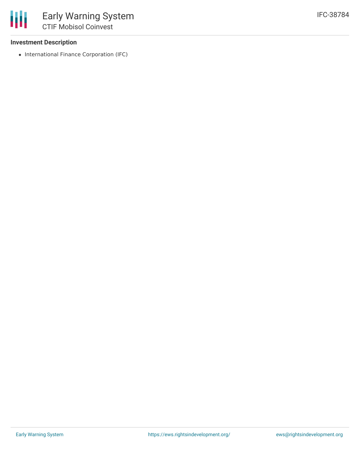#### **Investment Description**

• International Finance Corporation (IFC)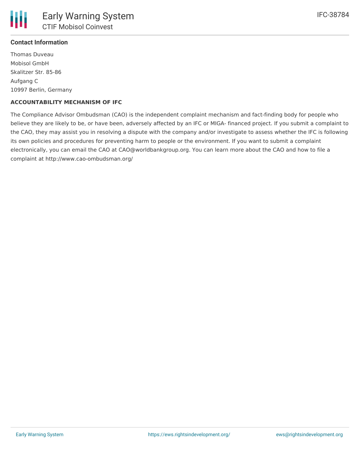# **Contact Information**

Thomas Duveau Mobisol GmbH Skalitzer Str. 85-86 Aufgang C 10997 Berlin, Germany

## **ACCOUNTABILITY MECHANISM OF IFC**

The Compliance Advisor Ombudsman (CAO) is the independent complaint mechanism and fact-finding body for people who believe they are likely to be, or have been, adversely affected by an IFC or MIGA- financed project. If you submit a complaint to the CAO, they may assist you in resolving a dispute with the company and/or investigate to assess whether the IFC is following its own policies and procedures for preventing harm to people or the environment. If you want to submit a complaint electronically, you can email the CAO at CAO@worldbankgroup.org. You can learn more about the CAO and how to file a complaint at http://www.cao-ombudsman.org/